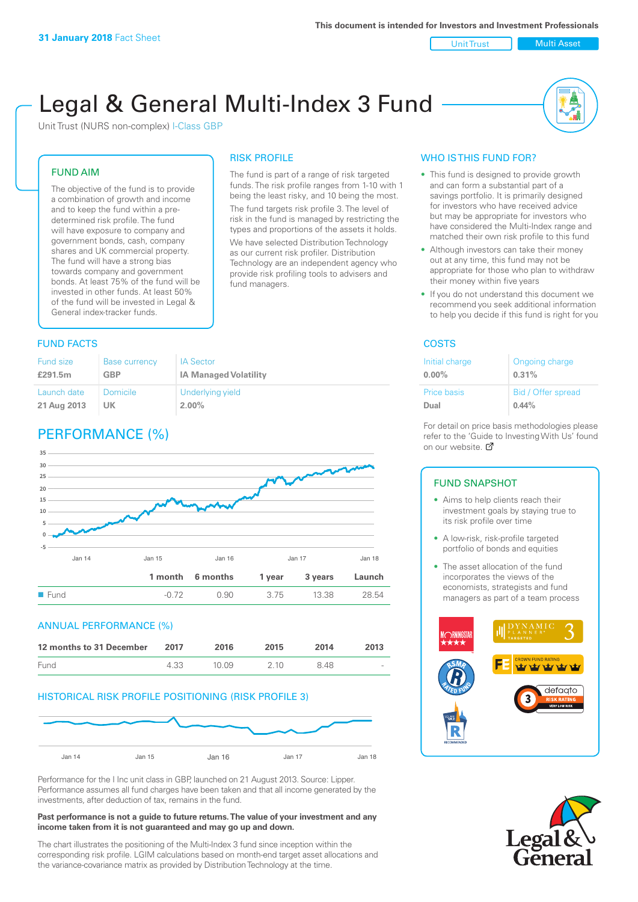Unit Trust Nulti Asset

# Legal & General Multi-Index 3 Fund

RISK PROFILE

fund managers.

The fund is part of a range of risk targeted funds. The risk profile ranges from 1-10 with 1 being the least risky, and 10 being the most. The fund targets risk profile 3. The level of risk in the fund is managed by restricting the types and proportions of the assets it holds. We have selected Distribution Technology as our current risk profiler. Distribution Technology are an independent agency who provide risk profiling tools to advisers and

Unit Trust (NURS non-complex) I-Class GBP

#### FUND AIM

The objective of the fund is to provide a combination of growth and income and to keep the fund within a predetermined risk profile. The fund will have exposure to company and government bonds, cash, company shares and UK commercial property. The fund will have a strong bias towards company and government bonds. At least 75% of the fund will be invested in other funds. At least 50% of the fund will be invested in Legal & General index-tracker funds.

### **FUND FACTS** COSTS

| <b>Fund size</b> | <b>Base currency</b> | <b>IA Sector</b>             |
|------------------|----------------------|------------------------------|
| £291.5m          | GBP                  | <b>IA Managed Volatility</b> |
| Launch date      | Domicile             | Underlying yield             |
| 21 Aug 2013      | UK                   | $2.00\%$                     |

## PERFORMANCE (%)



#### ANNUAL PERFORMANCE (%)

| 12 months to 31 December | 2017 | 2016   | 2015  | 2014 | 2013                     |
|--------------------------|------|--------|-------|------|--------------------------|
| Fund                     | 4.33 | 10 Q.9 | 2 1 0 | 848  | $\overline{\phantom{a}}$ |

#### HISTORICAL RISK PROFILE POSITIONING (RISK PROFILE 3)



Performance for the I Inc unit class in GBP, launched on 21 August 2013. Source: Lipper. Performance assumes all fund charges have been taken and that all income generated by the investments, after deduction of tax, remains in the fund.

#### **Past performance is not a guide to future returns. The value of your investment and any income taken from it is not guaranteed and may go up and down.**

The chart illustrates the positioning of the Multi-Index 3 fund since inception within the corresponding risk profile. LGIM calculations based on month-end target asset allocations and the variance-covariance matrix as provided by Distribution Technology at the time.

### WHO IS THIS FUND FOR?

- This fund is designed to provide growth and can form a substantial part of a savings portfolio. It is primarily designed for investors who have received advice but may be appropriate for investors who have considered the Multi-Index range and matched their own risk profile to this fund
- Although investors can take their money out at any time, this fund may not be appropriate for those who plan to withdraw their money within five years
- If you do not understand this document we recommend you seek additional information to help you decide if this fund is right for you

| Initial charge | Ongoing charge     |
|----------------|--------------------|
| $0.00\%$       | 0.31%              |
| Price basis    | Bid / Offer spread |
| Dual           | 0.44%              |

For detail on price basis methodologies please refer to the 'Gu[ide t](http://www.legalandgeneral.com/guide)o Investing With Us' found on our website. Ø

#### FUND SNAPSHOT

- Aims to help clients reach their investment goals by staying true to its risk profile over time
- A low-risk, risk-profile targeted portfolio of bonds and equities
- The asset allocation of the fund incorporates the views of the economists, strategists and fund managers as part of a team process



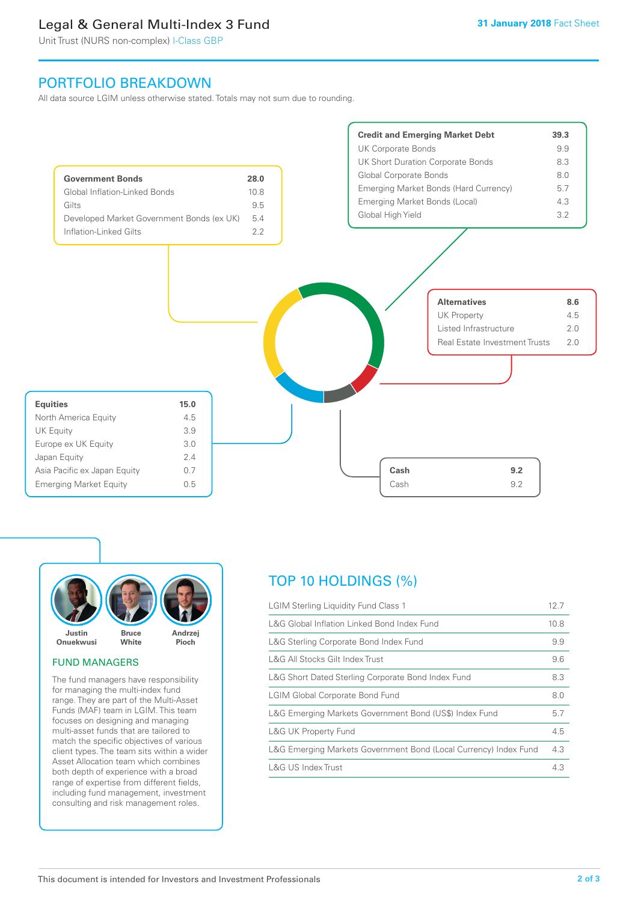## Legal & General Multi-Index 3 Fund

Unit Trust (NURS non-complex) I-Class GBP

## PORTFOLIO BREAKDOWN

All data source LGIM unless otherwise stated. Totals may not sum due to rounding.





#### FUND MANAGERS

The fund managers have responsibility for managing the multi-index fund range. They are part of the Multi-Asset Funds (MAF) team in LGIM. This team focuses on designing and managing multi-asset funds that are tailored to match the specific objectives of various client types. The team sits within a wider Asset Allocation team which combines both depth of experience with a broad range of expertise from different fields, including fund management, investment consulting and risk management roles.

## TOP 10 HOLDINGS (%)

| <b>LGIM Sterling Liquidity Fund Class 1</b>                      | 12.7 |
|------------------------------------------------------------------|------|
| L&G Global Inflation Linked Bond Index Fund                      | 10.8 |
| L&G Sterling Corporate Bond Index Fund                           | 9.9  |
| L&G All Stocks Gilt Index Trust                                  | 9.6  |
| L&G Short Dated Sterling Corporate Bond Index Fund               | 8.3  |
| <b>LGIM Global Corporate Bond Fund</b>                           | 8.0  |
| L&G Emerging Markets Government Bond (US\$) Index Fund           | 5.7  |
| <b>L&amp;G UK Property Fund</b>                                  | 4.5  |
| L&G Emerging Markets Government Bond (Local Currency) Index Fund | 4.3  |
| <b>L&amp;G US Index Trust</b>                                    | 4.3  |